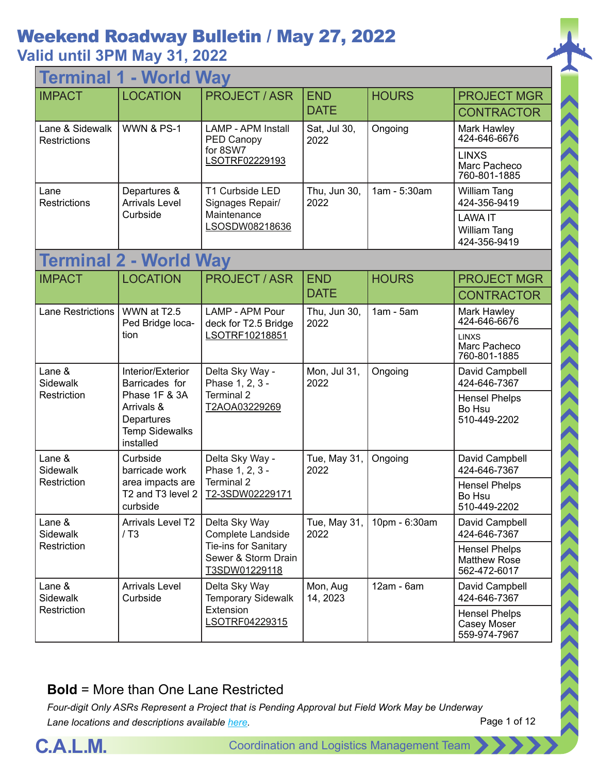### **Valid until 3PM May 31, 2022**

| <b>Terminal 1 - World Way</b>          |                                                                                 |                                                              |                      |               |                                                             |  |
|----------------------------------------|---------------------------------------------------------------------------------|--------------------------------------------------------------|----------------------|---------------|-------------------------------------------------------------|--|
| <b>IMPACT</b>                          | <b>LOCATION</b>                                                                 | <b>PROJECT/ASR</b>                                           | <b>END</b>           | <b>HOURS</b>  | <b>PROJECT MGR</b>                                          |  |
|                                        |                                                                                 |                                                              | <b>DATE</b>          |               | <b>CONTRACTOR</b>                                           |  |
| Lane & Sidewalk<br><b>Restrictions</b> | <b>WWN &amp; PS-1</b>                                                           | <b>LAMP - APM Install</b><br>PED Canopy                      | Sat, Jul 30,<br>2022 | Ongoing       | Mark Hawley<br>424-646-6676                                 |  |
|                                        |                                                                                 | for 8SW7<br>LSOTRF02229193                                   |                      |               | <b>LINXS</b><br>Marc Pacheco<br>760-801-1885                |  |
| Lane<br>Restrictions                   | Departures &<br><b>Arrivals Level</b>                                           | T1 Curbside LED<br>Signages Repair/                          | Thu, Jun 30,<br>2022 | 1am - 5:30am  | William Tang<br>424-356-9419                                |  |
|                                        | Curbside                                                                        | Maintenance<br>LSOSDW08218636                                |                      |               | <b>LAWA IT</b><br>William Tang<br>424-356-9419              |  |
|                                        | <b>Terminal 2 - World Way</b>                                                   |                                                              |                      |               |                                                             |  |
| <b>IMPACT</b>                          | <b>LOCATION</b>                                                                 | <b>PROJECT/ASR</b>                                           | <b>END</b>           | <b>HOURS</b>  | <b>PROJECT MGR</b>                                          |  |
|                                        |                                                                                 |                                                              | <b>DATE</b>          |               | <b>CONTRACTOR</b>                                           |  |
| Lane Restrictions                      | WWN at T2.5<br>Ped Bridge loca-                                                 | LAMP - APM Pour<br>deck for T2.5 Bridge                      | Thu, Jun 30,<br>2022 | $1am - 5am$   | Mark Hawley<br>424-646-6676                                 |  |
|                                        | tion                                                                            | LSOTRF10218851                                               |                      |               | <b>LINXS</b><br>Marc Pacheco<br>760-801-1885                |  |
| Lane &<br>Sidewalk                     | Interior/Exterior<br>Barricades for                                             | Delta Sky Way -<br>Phase 1, 2, 3 -                           | Mon, Jul 31,<br>2022 | Ongoing       | David Campbell<br>424-646-7367                              |  |
| Restriction                            | Phase 1F & 3A<br>Arrivals &<br>Departures<br><b>Temp Sidewalks</b><br>installed | Terminal 2<br>T2AOA03229269                                  |                      |               | <b>Hensel Phelps</b><br>Bo Hsu<br>510-449-2202              |  |
| Lane &<br>Sidewalk                     | Curbside<br>barricade work                                                      | Delta Sky Way -<br>Phase 1, 2, 3 -                           | Tue, May 31,<br>2022 | Ongoing       | David Campbell<br>424-646-7367                              |  |
| Restriction                            | area impacts are<br>T <sub>2</sub> and T <sub>3</sub> level 2<br>curbside       | Terminal 2<br>T2-3SDW02229171                                |                      |               | <b>Hensel Phelps</b><br>Bo Hsu<br>510-449-2202              |  |
| Lane &<br><b>Sidewalk</b>              | <b>Arrivals Level T2</b><br>/ T3                                                | Delta Sky Way<br>Complete Landside                           | Tue, May 31,<br>2022 | 10pm - 6:30am | David Campbell<br>424-646-7367                              |  |
| Restriction                            |                                                                                 | Tie-ins for Sanitary<br>Sewer & Storm Drain<br>T3SDW01229118 |                      |               | <b>Hensel Phelps</b><br><b>Matthew Rose</b><br>562-472-6017 |  |
| Lane &<br>Sidewalk                     | <b>Arrivals Level</b><br>Curbside                                               | Delta Sky Way<br><b>Temporary Sidewalk</b>                   | Mon, Aug<br>14, 2023 | 12am - 6am    | David Campbell<br>424-646-7367                              |  |
| Restriction                            |                                                                                 | Extension<br>LSOTRF04229315                                  |                      |               | <b>Hensel Phelps</b><br>Casey Moser<br>559-974-7967         |  |

#### **Bold** = More than One Lane Restricted

*Four-digit Only ASRs Represent a Project that is Pending Approval but Field Work May be Underway Lane locations and descriptions available [here](http://slaxadgmss001/sites/CALMSHARE/Shared%20Documents/CTA_Lane_Descriptions.pdf).*



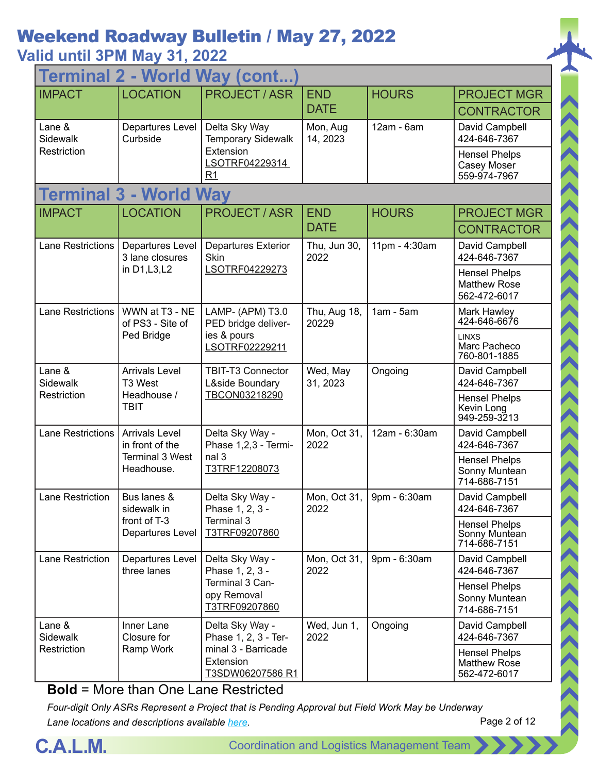### **Valid until 3PM May 31, 2022**

| 2 - World Way (cont<br><b>Terminal</b> |                                          |                                                      |                       |               |                                                             |  |
|----------------------------------------|------------------------------------------|------------------------------------------------------|-----------------------|---------------|-------------------------------------------------------------|--|
| <b>IMPACT</b>                          | <b>LOCATION</b>                          | <b>PROJECT / ASR</b>                                 | <b>END</b>            | <b>HOURS</b>  | <b>PROJECT MGR</b>                                          |  |
|                                        |                                          |                                                      | <b>DATE</b>           |               | <b>CONTRACTOR</b>                                           |  |
| Lane &<br>Sidewalk                     | Departures Level<br>Curbside             | Delta Sky Way<br><b>Temporary Sidewalk</b>           | Mon, Aug<br>14, 2023  | 12am - 6am    | David Campbell<br>424-646-7367                              |  |
| Restriction                            |                                          | Extension<br>LSOTRF04229314<br>R1                    |                       |               | <b>Hensel Phelps</b><br>Casey Moser<br>559-974-7967         |  |
|                                        | <b>Terminal 3 - World Way</b>            |                                                      |                       |               |                                                             |  |
| <b>IMPACT</b>                          | <b>LOCATION</b>                          | <b>PROJECT / ASR</b>                                 | <b>END</b>            | <b>HOURS</b>  | <b>PROJECT MGR</b>                                          |  |
|                                        |                                          |                                                      | <b>DATE</b>           |               | <b>CONTRACTOR</b>                                           |  |
| <b>Lane Restrictions</b>               | Departures Level<br>3 lane closures      | <b>Departures Exterior</b><br>Skin                   | Thu, Jun 30,<br>2022  | 11pm - 4:30am | David Campbell<br>424-646-7367                              |  |
|                                        | in D1, L3, L2                            | LSOTRF04229273                                       |                       |               | <b>Hensel Phelps</b><br><b>Matthew Rose</b><br>562-472-6017 |  |
| <b>Lane Restrictions</b>               | WWN at T3 - NE<br>of PS3 - Site of       | LAMP- (APM) T3.0<br>PED bridge deliver-              | Thu, Aug 18,<br>20229 | $1am - 5am$   | Mark Hawley<br>424-646-6676                                 |  |
|                                        | Ped Bridge                               | ies & pours<br>LSOTRF02229211                        |                       |               | <b>LINXS</b><br>Marc Pacheco<br>760-801-1885                |  |
| Lane &<br>Sidewalk                     | <b>Arrivals Level</b><br>T3 West         | TBIT-T3 Connector<br>L&side Boundary                 | Wed, May<br>31, 2023  | Ongoing       | David Campbell<br>424-646-7367                              |  |
| Restriction                            | Headhouse /<br><b>TBIT</b>               | TBCON03218290                                        |                       |               | <b>Hensel Phelps</b><br>Kevin Long<br>949-259-3213          |  |
| <b>Lane Restrictions</b>               | <b>Arrivals Level</b><br>in front of the | Delta Sky Way -<br>Phase 1,2,3 - Termi-              | Mon, Oct 31,<br>2022  | 12am - 6:30am | David Campbell<br>424-646-7367                              |  |
|                                        | <b>Terminal 3 West</b><br>Headhouse.     | nal 3<br>T3TRF12208073                               |                       |               | <b>Hensel Phelps</b><br>Sonny Muntean<br>714-686-7151       |  |
| <b>Lane Restriction</b>                | Bus lanes &<br>sidewalk in               | Delta Sky Way -<br>Phase 1, 2, 3 -                   | Mon, Oct 31,<br>2022  | 9pm - 6:30am  | David Campbell<br>424-646-7367                              |  |
|                                        | front of T-3<br>Departures Level         | Terminal 3<br>T3TRF09207860                          |                       |               | <b>Hensel Phelps</b><br>Sonny Muntean<br>714-686-7151       |  |
| Lane Restriction                       | Departures Level<br>three lanes          | Delta Sky Way -<br>Phase 1, 2, 3 -                   | Mon, Oct 31,<br>2022  | 9pm - 6:30am  | David Campbell<br>424-646-7367                              |  |
|                                        |                                          | Terminal 3 Can-<br>opy Removal<br>T3TRF09207860      |                       |               | <b>Hensel Phelps</b><br>Sonny Muntean<br>714-686-7151       |  |
| Lane &<br>Sidewalk                     | Inner Lane<br>Closure for                | Delta Sky Way -<br>Phase 1, 2, 3 - Ter-              | Wed, Jun 1,<br>2022   | Ongoing       | David Campbell<br>424-646-7367                              |  |
| Restriction                            | Ramp Work                                | minal 3 - Barricade<br>Extension<br>T3SDW06207586 R1 |                       |               | <b>Hensel Phelps</b><br><b>Matthew Rose</b><br>562-472-6017 |  |
|                                        |                                          |                                                      |                       |               |                                                             |  |

**Bold** = More than One Lane Restricted

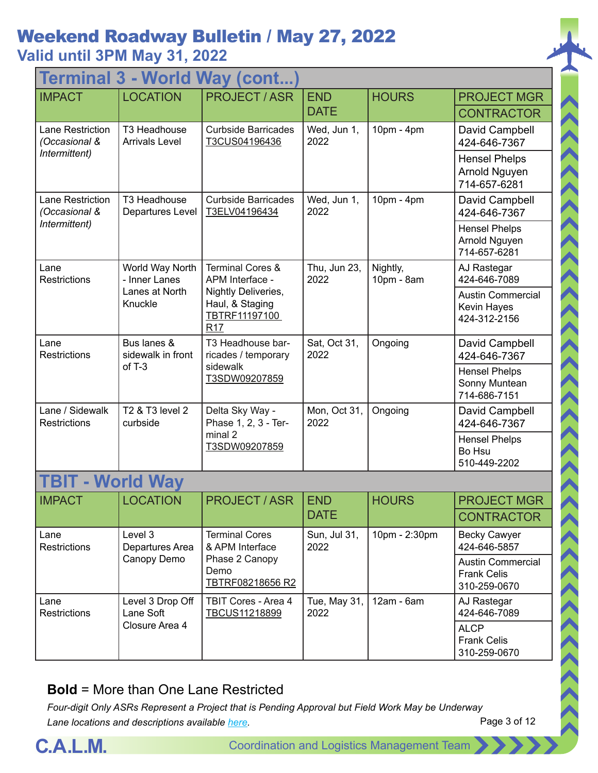### **Valid until 3PM May 31, 2022**

| <b>Terminal 3 - World Way (cont</b>    |                                       |                                                                            |                      |                        |                                                                |  |
|----------------------------------------|---------------------------------------|----------------------------------------------------------------------------|----------------------|------------------------|----------------------------------------------------------------|--|
| <b>IMPACT</b>                          | <b>LOCATION</b>                       | <b>PROJECT/ASR</b>                                                         | <b>END</b>           | <b>HOURS</b>           | <b>PROJECT MGR</b>                                             |  |
|                                        |                                       |                                                                            | <b>DATE</b>          |                        | <b>CONTRACTOR</b>                                              |  |
| Lane Restriction<br>(Occasional &      | T3 Headhouse<br><b>Arrivals Level</b> | <b>Curbside Barricades</b><br>T3CUS04196436                                | Wed, Jun 1,<br>2022  | 10pm - 4pm             | David Campbell<br>424-646-7367                                 |  |
| Intermittent)                          |                                       |                                                                            |                      |                        | <b>Hensel Phelps</b><br>Arnold Nguyen<br>714-657-6281          |  |
| Lane Restriction<br>(Occasional &      | T3 Headhouse<br>Departures Level      | <b>Curbside Barricades</b><br>T3ELV04196434                                | Wed, Jun 1,<br>2022  | 10pm - 4pm             | David Campbell<br>424-646-7367                                 |  |
| Intermittent)                          |                                       |                                                                            |                      |                        | <b>Hensel Phelps</b><br>Arnold Nguyen<br>714-657-6281          |  |
| Lane<br><b>Restrictions</b>            | World Way North<br>- Inner Lanes      | <b>Terminal Cores &amp;</b><br>APM Interface -                             | Thu, Jun 23,<br>2022 | Nightly,<br>10pm - 8am | AJ Rastegar<br>424-646-7089                                    |  |
|                                        | Lanes at North<br>Knuckle             | Nightly Deliveries,<br>Haul, & Staging<br>TBTRF11197100<br>R <sub>17</sub> |                      |                        | <b>Austin Commercial</b><br>Kevin Hayes<br>424-312-2156        |  |
| Lane<br><b>Restrictions</b>            | Bus lanes &<br>sidewalk in front      | T3 Headhouse bar-<br>ricades / temporary                                   | Sat, Oct 31,<br>2022 | Ongoing                | David Campbell<br>424-646-7367                                 |  |
|                                        | of $T-3$                              | sidewalk<br>T3SDW09207859                                                  |                      |                        | <b>Hensel Phelps</b><br>Sonny Muntean<br>714-686-7151          |  |
| Lane / Sidewalk<br><b>Restrictions</b> | T2 & T3 level 2<br>curbside           | Delta Sky Way -<br>Phase 1, 2, 3 - Ter-                                    | Mon, Oct 31,<br>2022 | Ongoing                | David Campbell<br>424-646-7367                                 |  |
|                                        |                                       | minal 2<br>T3SDW09207859                                                   |                      |                        | <b>Hensel Phelps</b><br>Bo Hsu<br>510-449-2202                 |  |
|                                        | <b>World Way</b>                      |                                                                            |                      |                        |                                                                |  |
| <b>IMPACT</b>                          | <b>OCATION</b>                        | <b>PROJECT / ASR</b>                                                       | <b>END</b>           | <b>HOURS</b>           | <b>PROJECT MGR</b>                                             |  |
|                                        |                                       |                                                                            | <b>DATE</b>          |                        | <b>CONTRACTOR</b>                                              |  |
| Lane<br>Restrictions                   | Level 3<br>Departures Area            | <b>Terminal Cores</b><br>& APM Interface                                   | Sun, Jul 31,<br>2022 | 10pm - 2:30pm          | <b>Becky Cawyer</b><br>424-646-5857                            |  |
|                                        | Canopy Demo                           | Phase 2 Canopy<br>Demo<br>TBTRF08218656 R2                                 |                      |                        | <b>Austin Commercial</b><br><b>Frank Celis</b><br>310-259-0670 |  |
| Lane<br><b>Restrictions</b>            | Level 3 Drop Off<br>Lane Soft         | TBIT Cores - Area 4<br>TBCUS11218899                                       | Tue, May 31,<br>2022 | 12am - 6am             | AJ Rastegar<br>424-646-7089                                    |  |
|                                        | Closure Area 4                        |                                                                            |                      |                        | <b>ALCP</b><br><b>Frank Celis</b><br>310-259-0670              |  |

#### **Bold** = More than One Lane Restricted



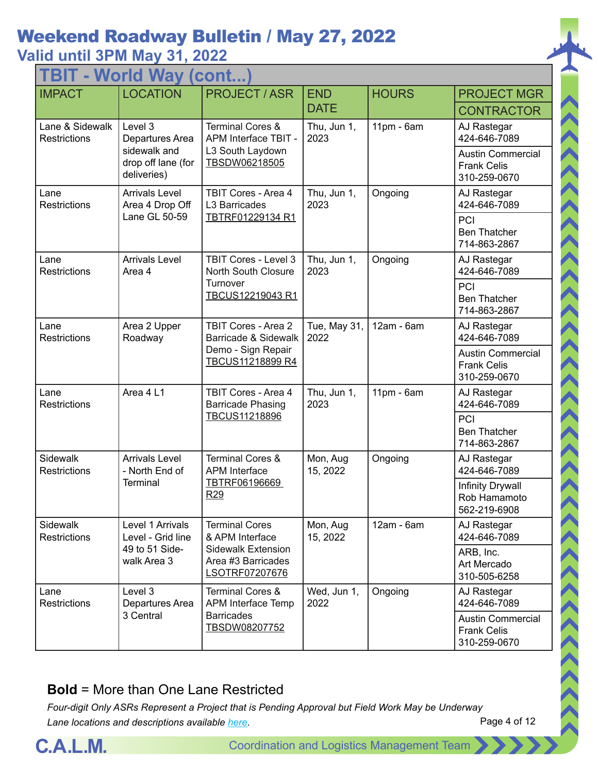## **Valid until 3PM May 31, 2022**

| TBIT - World Way<br>(cont.             |                                            |                                                                   |                      |              |                                                                |  |
|----------------------------------------|--------------------------------------------|-------------------------------------------------------------------|----------------------|--------------|----------------------------------------------------------------|--|
| <b>IMPACT</b>                          | <b>LOCATION</b>                            | <b>PROJECT/ASR</b>                                                | <b>END</b>           | <b>HOURS</b> | <b>PROJECT MGR</b>                                             |  |
|                                        |                                            |                                                                   | <b>DATE</b>          |              | <b>CONTRACTOR</b>                                              |  |
| Lane & Sidewalk<br><b>Restrictions</b> | Level 3<br>Departures Area<br>sidewalk and | <b>Terminal Cores &amp;</b><br>APM Interface TBIT -               | Thu, Jun 1,<br>2023  | $11pm - 6am$ | AJ Rastegar<br>424-646-7089                                    |  |
|                                        | drop off lane (for<br>deliveries)          | L3 South Laydown<br>TBSDW06218505                                 |                      |              | <b>Austin Commercial</b><br><b>Frank Celis</b><br>310-259-0670 |  |
| Lane<br>Restrictions                   | <b>Arrivals Level</b><br>Area 4 Drop Off   | TBIT Cores - Area 4<br>L3 Barricades                              | Thu, Jun 1,<br>2023  | Ongoing      | AJ Rastegar<br>424-646-7089                                    |  |
|                                        | Lane GL 50-59                              | TBTRF01229134 R1                                                  |                      |              | PCI<br><b>Ben Thatcher</b><br>714-863-2867                     |  |
| Lane<br><b>Restrictions</b>            | <b>Arrivals Level</b><br>Area 4            | TBIT Cores - Level 3<br>North South Closure                       | Thu, Jun 1,<br>2023  | Ongoing      | AJ Rastegar<br>424-646-7089                                    |  |
|                                        |                                            | Turnover<br>TBCUS12219043 R1                                      |                      |              | PCI<br><b>Ben Thatcher</b><br>714-863-2867                     |  |
| Lane<br><b>Restrictions</b>            | Area 2 Upper<br>Roadway                    | <b>TBIT Cores - Area 2</b><br>Barricade & Sidewalk                | Tue, May 31,<br>2022 | 12am - 6am   | AJ Rastegar<br>424-646-7089                                    |  |
|                                        |                                            | Demo - Sign Repair<br>TBCUS11218899 R4                            |                      |              | <b>Austin Commercial</b><br><b>Frank Celis</b><br>310-259-0670 |  |
| Lane<br>Restrictions                   | Area 4 L1                                  | TBIT Cores - Area 4<br><b>Barricade Phasing</b>                   | Thu, Jun 1,<br>2023  | 11pm - 6am   | AJ Rastegar<br>424-646-7089                                    |  |
|                                        |                                            | TBCUS11218896                                                     |                      |              | PCI<br><b>Ben Thatcher</b><br>714-863-2867                     |  |
| Sidewalk<br>Restrictions               | <b>Arrivals Level</b><br>- North End of    | <b>Terminal Cores &amp;</b><br><b>APM</b> Interface               | Mon, Aug<br>15, 2022 | Ongoing      | AJ Rastegar<br>424-646-7089                                    |  |
|                                        | <b>Terminal</b>                            | TBTRF06196669<br>R <sub>29</sub>                                  |                      |              | Infinity Drywall<br>Rob Hamamoto<br>562-219-6908               |  |
| Sidewalk<br><b>Restrictions</b>        | Level 1 Arrivals<br>Level - Grid line      | <b>Terminal Cores</b><br>& APM Interface                          | Mon, Aug<br>15, 2022 | 12am - 6am   | AJ Rastegar<br>424-646-7089                                    |  |
|                                        | 49 to 51 Side-<br>walk Area 3              | <b>Sidewalk Extension</b><br>Area #3 Barricades<br>LSOTRF07207676 |                      |              | ARB, Inc.<br>Art Mercado<br>310-505-6258                       |  |
| Lane<br><b>Restrictions</b>            | Level 3<br>Departures Area                 | <b>Terminal Cores &amp;</b><br>APM Interface Temp                 | Wed, Jun 1,<br>2022  | Ongoing      | AJ Rastegar<br>424-646-7089                                    |  |
|                                        | 3 Central                                  | <b>Barricades</b><br>TBSDW08207752                                |                      |              | <b>Austin Commercial</b><br><b>Frank Celis</b><br>310-259-0670 |  |

#### **Bold** = More than One Lane Restricted



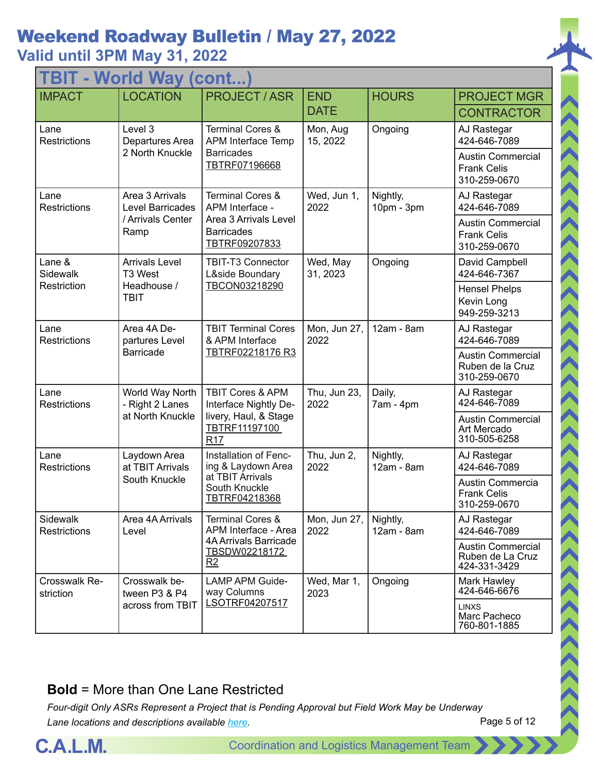### **Valid until 3PM May 31, 2022**

| TBIT - World Way<br>(cont.  |                                     |                                                             |                      |                          |                                                                |  |
|-----------------------------|-------------------------------------|-------------------------------------------------------------|----------------------|--------------------------|----------------------------------------------------------------|--|
| <b>IMPACT</b>               | <b>LOCATION</b>                     | <b>PROJECT/ASR</b>                                          | <b>END</b>           | <b>HOURS</b>             | <b>PROJECT MGR</b>                                             |  |
|                             |                                     |                                                             | <b>DATE</b>          |                          | <b>CONTRACTOR</b>                                              |  |
| Lane<br><b>Restrictions</b> | Level 3<br>Departures Area          | <b>Terminal Cores &amp;</b><br><b>APM Interface Temp</b>    | Mon, Aug<br>15, 2022 | Ongoing                  | AJ Rastegar<br>424-646-7089                                    |  |
|                             | 2 North Knuckle                     | <b>Barricades</b><br>TBTRF07196668                          |                      |                          | <b>Austin Commercial</b><br><b>Frank Celis</b><br>310-259-0670 |  |
| Lane<br><b>Restrictions</b> | Area 3 Arrivals<br>Level Barricades | <b>Terminal Cores &amp;</b><br>APM Interface -              | Wed, Jun 1,<br>2022  | Nightly,<br>10pm - 3pm   | AJ Rastegar<br>424-646-7089                                    |  |
|                             | / Arrivals Center<br>Ramp           | Area 3 Arrivals Level<br><b>Barricades</b><br>TBTRF09207833 |                      |                          | <b>Austin Commercial</b><br><b>Frank Celis</b><br>310-259-0670 |  |
| Lane &<br><b>Sidewalk</b>   | <b>Arrivals Level</b><br>T3 West    | <b>TBIT-T3 Connector</b><br>L&side Boundary                 | Wed, May<br>31, 2023 | Ongoing                  | David Campbell<br>424-646-7367                                 |  |
| Restriction                 | Headhouse /<br><b>TBIT</b>          | TBCON03218290                                               |                      |                          | <b>Hensel Phelps</b><br>Kevin Long<br>949-259-3213             |  |
| Lane<br>Restrictions        | Area 4A De-<br>partures Level       | <b>TBIT Terminal Cores</b><br>& APM Interface               | Mon, Jun 27,<br>2022 | 12am - 8am               | AJ Rastegar<br>424-646-7089                                    |  |
|                             | <b>Barricade</b>                    | TBTRF02218176 R3                                            |                      |                          | <b>Austin Commercial</b><br>Ruben de la Cruz<br>310-259-0670   |  |
| Lane<br><b>Restrictions</b> | World Way North<br>- Right 2 Lanes  | <b>TBIT Cores &amp; APM</b><br>Interface Nightly De-        | Thu, Jun 23,<br>2022 | Daily,<br>7am - 4pm      | AJ Rastegar<br>424-646-7089                                    |  |
|                             | at North Knuckle                    | livery, Haul, & Stage<br>TBTRF11197100<br>R <sub>17</sub>   |                      |                          | <b>Austin Commercial</b><br>Art Mercado<br>310-505-6258        |  |
| Lane<br>Restrictions        | Laydown Area<br>at TBIT Arrivals    | Installation of Fenc-<br>ing & Laydown Area                 | Thu, Jun 2,<br>2022  | Nightly,<br>12am - 8am   | AJ Rastegar<br>424-646-7089                                    |  |
|                             | South Knuckle                       | at TBIT Arrivals<br>South Knuckle<br>TBTRF04218368          |                      |                          | Austin Commercia<br><b>Frank Celis</b><br>310-259-0670         |  |
| Sidewalk<br>Restrictions    | Area 4A Arrivals<br>Level           | <b>Terminal Cores &amp;</b><br>APM Interface - Area         | Mon, Jun 27,<br>2022 | Nightly,<br>$12am - 8am$ | AJ Rastegar<br>424-646-7089                                    |  |
|                             |                                     | <b>4A Arrivals Barricade</b><br>TBSDW02218172<br>R2         |                      |                          | <b>Austin Commercial</b><br>Ruben de La Cruz<br>424-331-3429   |  |
| Crosswalk Re-<br>striction  | Crosswalk be-<br>tween P3 & P4      | <b>LAMP APM Guide-</b><br>way Columns                       | Wed, Mar 1,<br>2023  | Ongoing                  | Mark Hawley<br>424-646-6676                                    |  |
|                             | across from TBIT                    | LSOTRF04207517                                              |                      |                          | <b>LINXS</b><br>Marc Pacheco<br>760-801-1885                   |  |

#### **Bold** = More than One Lane Restricted

*Four-digit Only ASRs Represent a Project that is Pending Approval but Field Work May be Underway Lane locations and descriptions available [here](http://slaxadgmss001/sites/CALMSHARE/Shared%20Documents/CTA_Lane_Descriptions.pdf).*



 $\langle \langle \langle \langle \rangle \rangle \rangle \rangle$ 

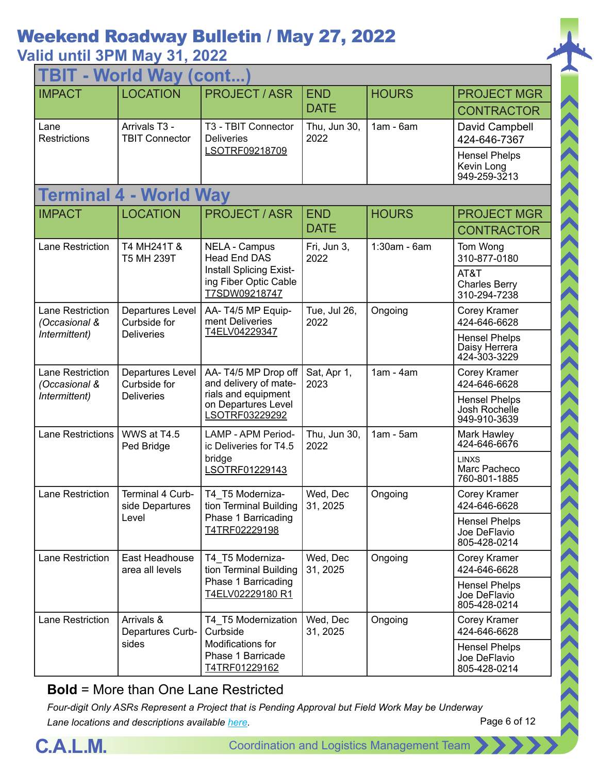### **Valid until 3PM May 31, 2022**

| <b>TBIT - World Way (cont</b>     |                                         |                                                                   |                      |                |                                                       |  |
|-----------------------------------|-----------------------------------------|-------------------------------------------------------------------|----------------------|----------------|-------------------------------------------------------|--|
| <b>IMPACT</b>                     | <b>LOCATION</b>                         | <b>PROJECT/ASR</b>                                                | <b>END</b>           | <b>HOURS</b>   | <b>PROJECT MGR</b>                                    |  |
|                                   |                                         |                                                                   | <b>DATE</b>          |                | <b>CONTRACTOR</b>                                     |  |
| Lane<br>Restrictions              | Arrivals T3 -<br><b>TBIT Connector</b>  | T3 - TBIT Connector<br><b>Deliveries</b>                          | Thu, Jun 30,<br>2022 | $1am - 6am$    | David Campbell<br>424-646-7367                        |  |
|                                   |                                         | LSOTRF09218709                                                    |                      |                | <b>Hensel Phelps</b><br>Kevin Long<br>949-259-3213    |  |
|                                   | <b>Terminal 4 - World Way</b>           |                                                                   |                      |                |                                                       |  |
| <b>IMPACT</b>                     | <b>LOCATION</b>                         | <b>PROJECT / ASR</b>                                              | <b>END</b>           | <b>HOURS</b>   | <b>PROJECT MGR</b>                                    |  |
|                                   |                                         |                                                                   | <b>DATE</b>          |                | <b>CONTRACTOR</b>                                     |  |
| <b>Lane Restriction</b>           | T4 MH241T &<br><b>T5 MH 239T</b>        | <b>NELA - Campus</b><br><b>Head End DAS</b>                       | Fri, Jun 3,<br>2022  | $1:30am - 6am$ | Tom Wong<br>310-877-0180                              |  |
|                                   |                                         | Install Splicing Exist-<br>ing Fiber Optic Cable<br>T7SDW09218747 |                      |                | AT&T<br><b>Charles Berry</b><br>310-294-7238          |  |
| Lane Restriction<br>(Occasional & | <b>Departures Level</b><br>Curbside for | AA-T4/5 MP Equip-<br>ment Deliveries                              | Tue, Jul 26,<br>2022 | Ongoing        | Corey Kramer<br>424-646-6628                          |  |
| Intermittent)                     | <b>Deliveries</b>                       | <u>T4ELV04229347</u>                                              |                      |                | <b>Hensel Phelps</b><br>Daisy Herrera<br>424-303-3229 |  |
| Lane Restriction<br>(Occasional & | Departures Level<br>Curbside for        | AA-T4/5 MP Drop off<br>and delivery of mate-                      | Sat, Apr 1,<br>2023  | $1am - 4am$    | Corey Kramer<br>424-646-6628                          |  |
| Intermittent)                     | <b>Deliveries</b>                       | rials and equipment<br>on Departures Level<br>LSOTRF03229292      |                      |                | <b>Hensel Phelps</b><br>Josh Rochelle<br>949-910-3639 |  |
| <b>Lane Restrictions</b>          | WWS at T4.5<br>Ped Bridge               | <b>LAMP - APM Period-</b><br>ic Deliveries for T4.5               | Thu, Jun 30,<br>2022 | $1am - 5am$    | Mark Hawley<br>424-646-6676                           |  |
|                                   |                                         | bridge<br>LSOTRF01229143                                          |                      |                | <b>LINXS</b><br>Marc Pacheco<br>760-801-1885          |  |
| Lane Restriction                  | Terminal 4 Curb-<br>side Departures     | T4 T5 Moderniza-<br>tion Terminal Building                        | Wed, Dec<br>31, 2025 | Ongoing        | Corey Kramer<br>424-646-6628                          |  |
|                                   | Level                                   | Phase 1 Barricading<br>T4TRF02229198                              |                      |                | <b>Hensel Phelps</b><br>Joe DeFlavio<br>805-428-0214  |  |
| <b>Lane Restriction</b>           | East Headhouse<br>area all levels       | T4_T5 Moderniza-<br>tion Terminal Building                        | Wed, Dec<br>31, 2025 | Ongoing        | Corey Kramer<br>424-646-6628                          |  |
|                                   |                                         | Phase 1 Barricading<br>T4ELV02229180 R1                           |                      |                | <b>Hensel Phelps</b><br>Joe DeFlavio<br>805-428-0214  |  |
| Lane Restriction                  | Arrivals &<br>Departures Curb-          | T4_T5 Modernization<br>Curbside                                   | Wed, Dec<br>31, 2025 | Ongoing        | Corey Kramer<br>424-646-6628                          |  |
|                                   | sides                                   | Modifications for<br>Phase 1 Barricade<br>T4TRF01229162           |                      |                | <b>Hensel Phelps</b><br>Joe DeFlavio<br>805-428-0214  |  |

#### **Bold** = More than One Lane Restricted

*Four-digit Only ASRs Represent a Project that is Pending Approval but Field Work May be Underway Lane locations and descriptions available [here](http://slaxadgmss001/sites/CALMSHARE/Shared%20Documents/CTA_Lane_Descriptions.pdf).*



ハイハイス くくくくくくくくくくくくくくくくくくく

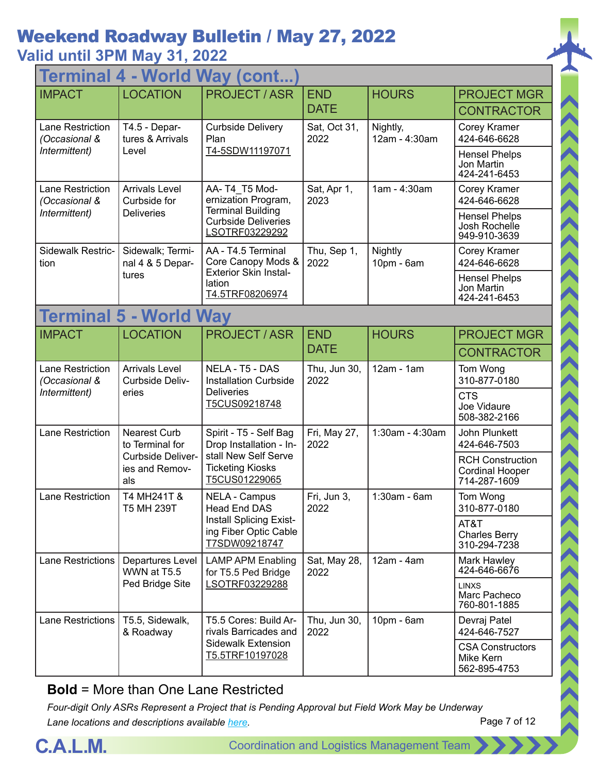### **Valid until 3PM May 31, 2022**

| <b>World Way (cont.</b><br><b>Termina</b> |                                            |                                                                                       |                      |                           |                                                                   |  |
|-------------------------------------------|--------------------------------------------|---------------------------------------------------------------------------------------|----------------------|---------------------------|-------------------------------------------------------------------|--|
| <b>IMPACT</b>                             | <b>LOCATION</b>                            | <b>PROJECT / ASR</b>                                                                  | <b>END</b>           | <b>HOURS</b>              | <b>PROJECT MGR</b>                                                |  |
|                                           |                                            |                                                                                       | <b>DATE</b>          |                           | <b>CONTRACTOR</b>                                                 |  |
| <b>Lane Restriction</b><br>(Occasional &  | T4.5 - Depar-<br>tures & Arrivals          | <b>Curbside Delivery</b><br>Plan                                                      | Sat, Oct 31,<br>2022 | Nightly,<br>12am - 4:30am | Corey Kramer<br>424-646-6628                                      |  |
| Intermittent)                             | Level                                      | T4-5SDW11197071                                                                       |                      |                           | <b>Hensel Phelps</b><br>Jon Martin<br>424-241-6453                |  |
| Lane Restriction<br>(Occasional &         | <b>Arrivals Level</b><br>Curbside for      | AA-T4 T5 Mod-<br>ernization Program,                                                  | Sat, Apr 1,<br>2023  | 1am - 4:30am              | Corey Kramer<br>424-646-6628                                      |  |
| Intermittent)                             | <b>Deliveries</b>                          | <b>Terminal Building</b><br><b>Curbside Deliveries</b><br>LSOTRF03229292              |                      |                           | <b>Hensel Phelps</b><br>Josh Rochelle<br>949-910-3639             |  |
| Sidewalk Restric-<br>tion                 | Sidewalk; Termi-<br>nal 4 & 5 Depar-       | AA - T4.5 Terminal<br>Core Canopy Mods &                                              | Thu, Sep 1,<br>2022  | Nightly<br>10pm - 6am     | Corey Kramer<br>424-646-6628                                      |  |
|                                           | tures                                      | <b>Exterior Skin Instal-</b><br>lation<br>T4.5TRF08206974                             |                      |                           | <b>Hensel Phelps</b><br>Jon Martin<br>424-241-6453                |  |
|                                           | <b>Terminal 5 - World Way</b>              |                                                                                       |                      |                           |                                                                   |  |
| <b>IMPACT</b>                             | <b>LOCATION</b>                            | <b>PROJECT / ASR</b>                                                                  | <b>END</b>           | <b>HOURS</b>              | <b>PROJECT MGR</b>                                                |  |
|                                           |                                            |                                                                                       | <b>DATE</b>          |                           | <b>CONTRACTOR</b>                                                 |  |
| Lane Restriction<br>(Occasional &         | <b>Arrivals Level</b><br>Curbside Deliv-   | NELA - T5 - DAS<br><b>Installation Curbside</b><br><b>Deliveries</b><br>T5CUS09218748 | Thu, Jun 30,<br>2022 | 12am - 1am                | Tom Wong<br>310-877-0180                                          |  |
| Intermittent)                             | eries                                      |                                                                                       |                      |                           | <b>CTS</b><br>Joe Vidaure<br>508-382-2166                         |  |
| Lane Restriction                          | <b>Nearest Curb</b><br>to Terminal for     | Spirit - T5 - Self Bag<br>Drop Installation - In-                                     | Fri, May 27,<br>2022 | 1:30am - 4:30am           | John Plunkett<br>424-646-7503                                     |  |
|                                           | Curbside Deliver-<br>ies and Remov-<br>als | stall New Self Serve<br><b>Ticketing Kiosks</b><br>T5CUS01229065                      |                      |                           | <b>RCH Construction</b><br><b>Cordinal Hooper</b><br>714-287-1609 |  |
| Lane Restriction                          | T4 MH241T &<br>T5 MH 239T                  | <b>NELA - Campus</b><br>Head End DAS                                                  | Fri, Jun 3,<br>2022  | 1:30am - 6am              | Tom Wong<br>310-877-0180                                          |  |
|                                           |                                            | Install Splicing Exist-<br>ing Fiber Optic Cable<br>T7SDW09218747                     |                      |                           | AT&T<br><b>Charles Berry</b><br>310-294-7238                      |  |
| Lane Restrictions                         | Departures Level<br>WWN at T5.5            | <b>LAMP APM Enabling</b><br>for T5.5 Ped Bridge                                       | Sat, May 28,<br>2022 | 12am - 4am                | Mark Hawley<br>424-646-6676                                       |  |
|                                           | Ped Bridge Site                            | LSOTRF03229288                                                                        |                      |                           | <b>LINXS</b><br>Marc Pacheco<br>760-801-1885                      |  |
| Lane Restrictions                         | T5.5, Sidewalk,<br>& Roadway               | T5.5 Cores: Build Ar-<br>rivals Barricades and                                        | Thu, Jun 30,<br>2022 | $10pm - 6am$              | Devraj Patel<br>424-646-7527                                      |  |
|                                           |                                            | <b>Sidewalk Extension</b><br>T5.5TRF10197028                                          |                      |                           | <b>CSA Constructors</b><br>Mike Kern<br>562-895-4753              |  |

#### **Bold** = More than One Lane Restricted

*Four-digit Only ASRs Represent a Project that is Pending Approval but Field Work May be Underway Lane locations and descriptions available [here](http://slaxadgmss001/sites/CALMSHARE/Shared%20Documents/CTA_Lane_Descriptions.pdf).*



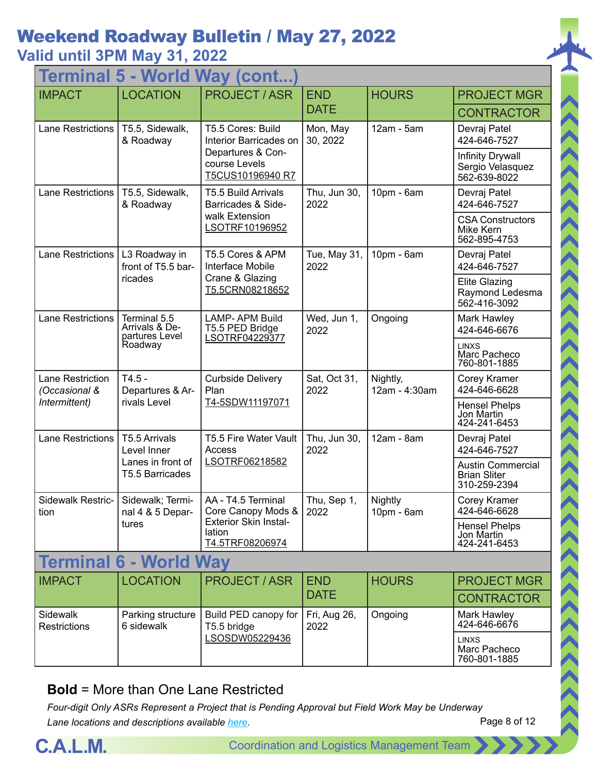### **Valid until 3PM May 31, 2022**

|                                              |                                                  | <b>Terminal 5 - World Way (cont</b>                       |                      |                           |                                                                 |
|----------------------------------------------|--------------------------------------------------|-----------------------------------------------------------|----------------------|---------------------------|-----------------------------------------------------------------|
| <b>IMPACT</b>                                | <b>LOCATION</b>                                  | <b>PROJECT / ASR</b>                                      | <b>END</b>           | <b>HOURS</b>              | <b>PROJECT MGR</b>                                              |
|                                              |                                                  |                                                           | <b>DATE</b>          |                           | <b>CONTRACTOR</b>                                               |
| <b>Lane Restrictions</b>                     | T5.5, Sidewalk,<br>& Roadway                     | T5.5 Cores: Build<br>Interior Barricades on               | Mon, May<br>30, 2022 | $12am - 5am$              | Devraj Patel<br>424-646-7527                                    |
|                                              |                                                  | Departures & Con-<br>course Levels<br>T5CUS10196940 R7    |                      |                           | Infinity Drywall<br>Sergio Velasquez<br>562-639-8022            |
| <b>Lane Restrictions</b>                     | T5.5, Sidewalk,<br>& Roadway                     | T5.5 Build Arrivals<br>Barricades & Side-                 | Thu, Jun 30,<br>2022 | 10pm - 6am                | Devraj Patel<br>424-646-7527                                    |
|                                              |                                                  | walk Extension<br>LSOTRF10196952                          |                      |                           | <b>CSA Constructors</b><br>Mike Kern<br>562-895-4753            |
| <b>Lane Restrictions</b>                     | L3 Roadway in<br>front of T5.5 bar-              | T5.5 Cores & APM<br>Interface Mobile                      | Tue, May 31,<br>2022 | 10pm - 6am                | Devraj Patel<br>424-646-7527                                    |
|                                              | ricades                                          | Crane & Glazing<br>T5.5CRN08218652                        |                      |                           | <b>Elite Glazing</b><br>Raymond Ledesma<br>562-416-3092         |
| <b>Lane Restrictions</b>                     | Terminal 5.5<br>Arrivals & De-<br>partures Level | <b>LAMP-APM Build</b><br>T5.5 PED Bridge                  | Wed, Jun 1,<br>2022  | Ongoing                   | Mark Hawley<br>424-646-6676                                     |
|                                              | Roadway                                          | LSOTRF04229377                                            |                      |                           | <b>LINXS</b><br>Marc Pacheco<br>760-801-1885                    |
| Lane Restriction<br>(Occasional &            | $T4.5 -$<br>Departures & Ar-                     | <b>Curbside Delivery</b><br>Plan                          | Sat, Oct 31,<br>2022 | Nightly,<br>12am - 4:30am | Corey Kramer<br>424-646-6628                                    |
| Intermittent)                                | rivals Level                                     | T4-5SDW11197071                                           |                      |                           | <b>Hensel Phelps</b><br>Jon Martin<br>424-241-6453              |
| <b>Lane Restrictions</b>                     | T5.5 Arrivals<br>Level Inner                     | T5.5 Fire Water Vault<br>Access                           | Thu, Jun 30,<br>2022 | 12am - 8am                | Devraj Patel<br>424-646-7527                                    |
|                                              | Lanes in front of<br>T5.5 Barricades             | LSOTRF06218582                                            |                      |                           | <b>Austin Commercial</b><br><b>Brian Sliter</b><br>310-259-2394 |
| Sidewalk Restric-   Sidewalk; Termi-<br>tion | nal 4 & 5 Depar-                                 | AA - T4.5 Terminal<br>Core Canopy Mods &                  | Thu, Sep 1,<br>2022  | Nightly<br>10pm - 6am     | Corey Kramer<br>424-646-6628                                    |
|                                              | tures                                            | <b>Exterior Skin Instal-</b><br>lation<br>T4.5TRF08206974 |                      |                           | <b>Hensel Phelps</b><br>Jon Martin<br>424-241-6453              |
|                                              | <b>Terminal 6 - World Way</b>                    |                                                           |                      |                           |                                                                 |
| <b>IMPACT</b>                                | <b>LOCATION</b>                                  | <b>PROJECT / ASR</b>                                      | <b>END</b>           | <b>HOURS</b>              | <b>PROJECT MGR</b>                                              |
|                                              |                                                  |                                                           | <b>DATE</b>          |                           | <b>CONTRACTOR</b>                                               |
| Sidewalk<br>Restrictions                     | Parking structure<br>6 sidewalk                  | Build PED canopy for<br>T5.5 bridge                       | Fri, Aug 26,<br>2022 | Ongoing                   | Mark Hawley<br>424-646-6676                                     |
|                                              |                                                  | LSOSDW05229436                                            |                      |                           | <b>LINXS</b><br>Marc Pacheco<br>760-801-1885                    |

#### **Bold** = More than One Lane Restricted

*Four-digit Only ASRs Represent a Project that is Pending Approval but Field Work May be Underway Lane locations and descriptions available [here](http://slaxadgmss001/sites/CALMSHARE/Shared%20Documents/CTA_Lane_Descriptions.pdf).*



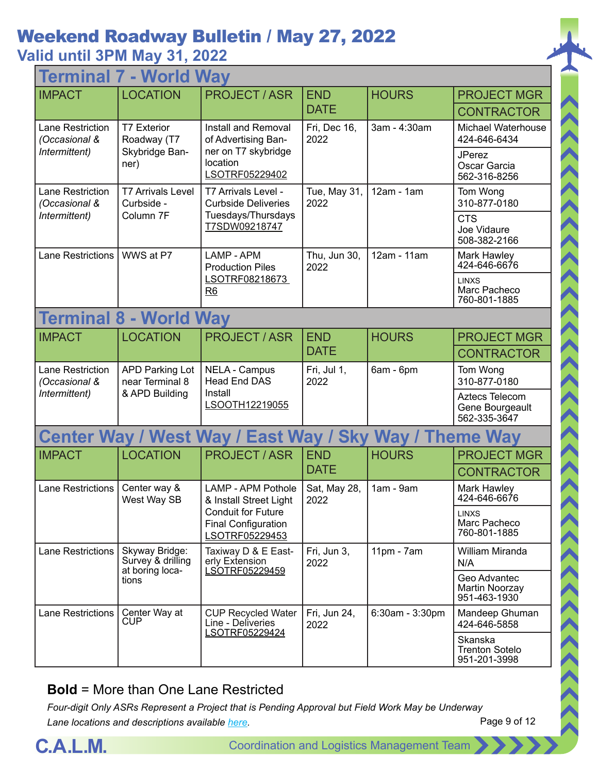### **Valid until 3PM May 31, 2022**

| <b>World Way</b><br>Termir               |                                                                                          |                                                                           |                      |                 |                                                   |  |
|------------------------------------------|------------------------------------------------------------------------------------------|---------------------------------------------------------------------------|----------------------|-----------------|---------------------------------------------------|--|
| <b>IMPACT</b>                            | <b>LOCATION</b>                                                                          | <b>PROJECT / ASR</b>                                                      | <b>END</b>           | <b>HOURS</b>    | <b>PROJECT MGR</b>                                |  |
|                                          |                                                                                          |                                                                           | <b>DATE</b>          |                 | <b>CONTRACTOR</b>                                 |  |
| Lane Restriction<br>(Occasional &        | <b>T7 Exterior</b><br>Roadway (T7                                                        | Install and Removal<br>of Advertising Ban-                                | Fri, Dec 16,<br>2022 | 3am - 4:30am    | Michael Waterhouse<br>424-646-6434                |  |
| Intermittent)                            | Skybridge Ban-<br>ner)                                                                   | ner on T7 skybridge<br>location<br>LSOTRF05229402                         |                      |                 | <b>JPerez</b><br>Oscar Garcia<br>562-316-8256     |  |
| Lane Restriction<br>(Occasional &        | <b>T7 Arrivals Level</b><br>Curbside -                                                   | T7 Arrivals Level -<br><b>Curbside Deliveries</b>                         | Tue, May 31,<br>2022 | $12am - 1am$    | Tom Wong<br>310-877-0180                          |  |
| Intermittent)                            | Column <sub>7F</sub>                                                                     | Tuesdays/Thursdays<br>T7SDW09218747                                       |                      |                 | <b>CTS</b><br>Joe Vidaure<br>508-382-2166         |  |
| <b>Lane Restrictions</b>                 | WWS at P7                                                                                | LAMP - APM<br><b>Production Piles</b>                                     | Thu, Jun 30,<br>2022 | 12am - 11am     | Mark Hawley<br>424-646-6676                       |  |
|                                          |                                                                                          | LSOTRF08218673<br>R6                                                      |                      |                 | <b>LINXS</b><br>Marc Pacheco<br>760-801-1885      |  |
| <b>Terminal 8 - World Way</b>            |                                                                                          |                                                                           |                      |                 |                                                   |  |
| <b>IMPACT</b>                            | <b>LOCATION</b>                                                                          | <b>PROJECT / ASR</b>                                                      | <b>END</b>           | <b>HOURS</b>    | <b>PROJECT MGR</b>                                |  |
|                                          |                                                                                          |                                                                           | <b>DATE</b>          |                 | <b>CONTRACTOR</b>                                 |  |
| <b>Lane Restriction</b><br>(Occasional & | <b>APD Parking Lot</b><br><b>NELA - Campus</b><br><b>Head End DAS</b><br>near Terminal 8 |                                                                           | Fri, Jul 1,<br>2022  | 6am - 6pm       | Tom Wong<br>310-877-0180                          |  |
| Intermittent)                            | & APD Building                                                                           | Install<br>LSOOTH12219055                                                 |                      |                 | Aztecs Telecom<br>Gene Bourgeault<br>562-335-3647 |  |
|                                          |                                                                                          | Center Way / West Way / East Way / Sky                                    |                      | Way /           | <b>Theme Way</b>                                  |  |
| <b>IMPACT</b>                            | <b>LOCATION</b>                                                                          | <b>PROJECT/ASR</b>                                                        | <b>END</b>           | <b>HOURS</b>    | <b>PROJECT MGR</b>                                |  |
|                                          |                                                                                          |                                                                           | <b>DATE</b>          |                 | <b>CONTRACTOR</b>                                 |  |
| <b>Lane Restrictions</b>                 | Center way &<br>West Way SB                                                              | <b>LAMP - APM Pothole</b><br>& Install Street Light                       | Sat, May 28,<br>2022 | $1am - 9am$     | Mark Hawley<br>424-646-6676                       |  |
|                                          |                                                                                          | <b>Conduit for Future</b><br><b>Final Configuration</b><br>LSOTRF05229453 |                      |                 | <b>LINXS</b><br>Marc Pacheco<br>760-801-1885      |  |
| <b>Lane Restrictions</b>                 | Skyway Bridge:<br>Survey & drilling<br>at boring loca-                                   | Taxiway D & E East-<br>erly Extension<br>LSOTRF05229459                   | Fri, Jun 3,<br>2022  | $11pm - 7am$    | William Miranda<br>N/A                            |  |
|                                          | tions                                                                                    |                                                                           |                      |                 | Geo Advantec<br>Martin Noorzay<br>951-463-1930    |  |
| Lane Restrictions                        | Center Way at<br>CUP                                                                     | <b>CUP Recycled Water</b><br>Line - Deliveries                            | Fri, Jun 24,<br>2022 | 6:30am - 3:30pm | Mandeep Ghuman<br>424-646-5858                    |  |
|                                          |                                                                                          | LSOTRF05229424                                                            |                      |                 | Skanska<br><b>Trenton Sotelo</b><br>951-201-3998  |  |
|                                          |                                                                                          |                                                                           |                      |                 |                                                   |  |

#### **Bold** = More than One Lane Restricted

*Four-digit Only ASRs Represent a Project that is Pending Approval but Field Work May be Underway Lane locations and descriptions available [here](http://slaxadgmss001/sites/CALMSHARE/Shared%20Documents/CTA_Lane_Descriptions.pdf).*



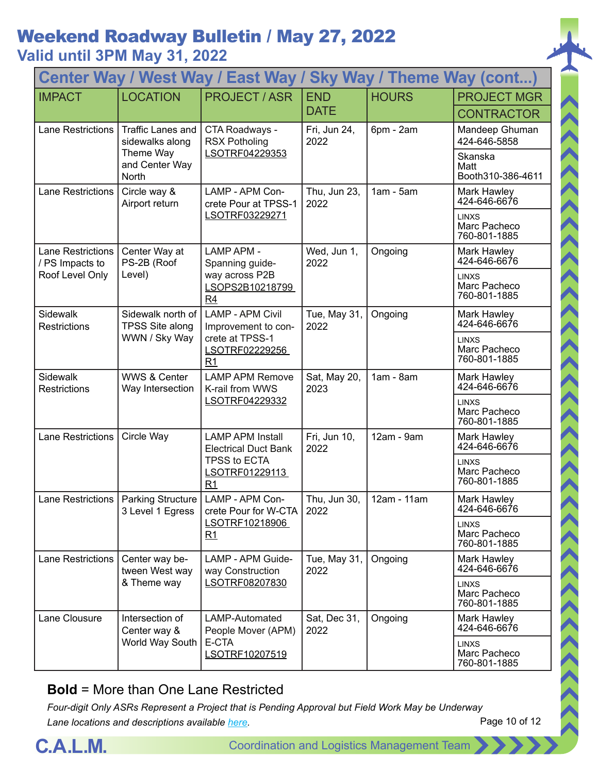### **Valid until 3PM May 31, 2022**

| <b>Center Way / West Way / East Way /</b><br><b>Sky Way / Theme Way (cont)</b> |                                             |                                                                                 |                      |              |                                              |  |
|--------------------------------------------------------------------------------|---------------------------------------------|---------------------------------------------------------------------------------|----------------------|--------------|----------------------------------------------|--|
| <b>IMPACT</b>                                                                  | <b>LOCATION</b>                             | <b>PROJECT / ASR</b>                                                            | <b>END</b>           | <b>HOURS</b> | <b>PROJECT MGR</b>                           |  |
|                                                                                |                                             |                                                                                 | <b>DATE</b>          |              | <b>CONTRACTOR</b>                            |  |
| <b>Lane Restrictions</b>                                                       | <b>Traffic Lanes and</b><br>sidewalks along | CTA Roadways -<br><b>RSX Potholing</b>                                          | Fri, Jun 24,<br>2022 | 6pm - 2am    | Mandeep Ghuman<br>424-646-5858               |  |
|                                                                                | Theme Way<br>and Center Way<br>North        | LSOTRF04229353                                                                  |                      |              | Skanska<br>Matt<br>Booth310-386-4611         |  |
| <b>Lane Restrictions</b>                                                       | Circle way &<br>Airport return              | LAMP - APM Con-<br>crete Pour at TPSS-1                                         | Thu, Jun 23,<br>2022 | $1am - 5am$  | Mark Hawley<br>424-646-6676                  |  |
|                                                                                |                                             | LSOTRF03229271                                                                  |                      |              | <b>LINXS</b><br>Marc Pacheco<br>760-801-1885 |  |
| Lane Restrictions<br>/ PS Impacts to                                           | Center Way at<br>PS-2B (Roof                | <b>LAMP APM -</b><br>Spanning guide-                                            | Wed, Jun 1,<br>2022  | Ongoing      | Mark Hawley<br>424-646-6676                  |  |
| Roof Level Only                                                                | Level)                                      | way across P2B<br>LSOPS2B10218799<br>R4                                         |                      |              | <b>LINXS</b><br>Marc Pacheco<br>760-801-1885 |  |
| <b>Sidewalk</b><br><b>Restrictions</b>                                         | Sidewalk north of<br><b>TPSS Site along</b> | <b>LAMP - APM Civil</b><br>Improvement to con-                                  | Tue, May 31,<br>2022 | Ongoing      | Mark Hawley<br>424-646-6676                  |  |
|                                                                                | WWN / Sky Way                               | crete at TPSS-1<br>LSOTRF02229256<br>R <sub>1</sub>                             |                      |              | <b>LINXS</b><br>Marc Pacheco<br>760-801-1885 |  |
| Sidewalk<br>Restrictions                                                       | <b>WWS &amp; Center</b><br>Way Intersection | <b>LAMP APM Remove</b><br>K-rail from WWS                                       | Sat, May 20,<br>2023 | $1am - 8am$  | Mark Hawley<br>424-646-6676                  |  |
|                                                                                |                                             | LSOTRF04229332                                                                  |                      |              | <b>LINXS</b><br>Marc Pacheco<br>760-801-1885 |  |
| Lane Restrictions                                                              | Circle Way                                  | <b>LAMP APM Install</b><br><b>Electrical Duct Bank</b>                          | Fri, Jun 10,<br>2022 | 12am - 9am   | Mark Hawley<br>424-646-6676                  |  |
|                                                                                |                                             | TPSS to ECTA<br>LSOTRF01229113<br>R <sub>1</sub>                                |                      |              | <b>LINXS</b><br>Marc Pacheco<br>760-801-1885 |  |
|                                                                                | 3 Level 1 Egress                            | Lane Restrictions   Parking Structure   LAMP - APM Con-<br>crete Pour for W-CTA | Thu, Jun 30,<br>2022 | 12am - 11am  | Mark Hawley<br>424-646-6676                  |  |
|                                                                                |                                             | LSOTRF10218906<br>R1                                                            |                      |              | <b>LINXS</b><br>Marc Pacheco<br>760-801-1885 |  |
| Lane Restrictions                                                              | Center way be-<br>tween West way            | LAMP - APM Guide-<br>way Construction                                           | Tue, May 31,<br>2022 | Ongoing      | Mark Hawley<br>424-646-6676                  |  |
|                                                                                | LSOTRF08207830<br>& Theme way               |                                                                                 |                      |              | <b>LINXS</b><br>Marc Pacheco<br>760-801-1885 |  |
| Lane Clousure                                                                  | Intersection of<br>Center way &             | LAMP-Automated<br>People Mover (APM)                                            | Sat, Dec 31,<br>2022 | Ongoing      | Mark Hawley<br>424-646-6676                  |  |
|                                                                                | World Way South                             | E-CTA<br>LSOTRF10207519                                                         |                      |              | <b>LINXS</b><br>Marc Pacheco<br>760-801-1885 |  |

#### **Bold** = More than One Lane Restricted



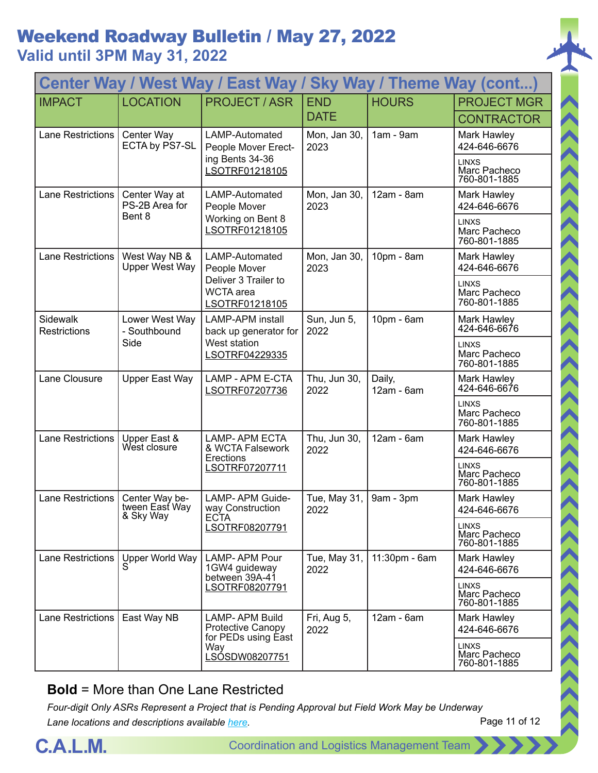**Valid until 3PM May 31, 2022**

| Center Way / West Way / East Way / Sky Way / Theme Way (cont) |                                               |                                                            |                      |                      |                                              |  |
|---------------------------------------------------------------|-----------------------------------------------|------------------------------------------------------------|----------------------|----------------------|----------------------------------------------|--|
| <b>IMPACT</b>                                                 | <b>LOCATION</b>                               | <b>PROJECT / ASR</b>                                       | <b>END</b>           | <b>HOURS</b>         | <b>PROJECT MGR</b>                           |  |
|                                                               |                                               |                                                            | <b>DATE</b>          |                      | <b>CONTRACTOR</b>                            |  |
| <b>Lane Restrictions</b>                                      | Center Way<br>ECTA by PS7-SL                  | LAMP-Automated<br>People Mover Erect-                      | Mon, Jan 30,<br>2023 | $1am - 9am$          | Mark Hawley<br>424-646-6676                  |  |
|                                                               |                                               | ing Bents 34-36<br>LSOTRF01218105                          |                      |                      | <b>LINXS</b><br>Marc Pacheco<br>760-801-1885 |  |
| <b>Lane Restrictions</b>                                      | Center Way at<br>PS-2B Area for               | LAMP-Automated<br>People Mover                             | Mon, Jan 30,<br>2023 | 12am - 8am           | Mark Hawley<br>424-646-6676                  |  |
|                                                               | Bent 8                                        | Working on Bent 8<br>LSOTRF01218105                        |                      |                      | <b>LINXS</b><br>Marc Pacheco<br>760-801-1885 |  |
| <b>Lane Restrictions</b>                                      | West Way NB &<br><b>Upper West Way</b>        | LAMP-Automated<br>People Mover                             | Mon, Jan 30,<br>2023 | 10pm - 8am           | Mark Hawley<br>424-646-6676                  |  |
|                                                               |                                               | Deliver 3 Trailer to<br><b>WCTA</b> area<br>LSOTRF01218105 |                      |                      | <b>LINXS</b><br>Marc Pacheco<br>760-801-1885 |  |
| Sidewalk<br>Restrictions                                      | Lower West Way<br>- Southbound                | <b>LAMP-APM</b> install<br>back up generator for           | Sun, Jun 5,<br>2022  | 10pm - 6am           | Mark Hawley<br>424-646-6676                  |  |
|                                                               | Side                                          | West station<br>LSOTRF04229335                             |                      |                      | <b>LINXS</b><br>Marc Pacheco<br>760-801-1885 |  |
| Lane Clousure                                                 | Upper East Way                                | LAMP - APM E-CTA<br>LSOTRF07207736                         | Thu, Jun 30,<br>2022 | Daily,<br>12am - 6am | Mark Hawley<br>424-646-6676                  |  |
|                                                               |                                               |                                                            |                      |                      | <b>LINXS</b><br>Marc Pacheco<br>760-801-1885 |  |
| <b>Lane Restrictions</b>                                      | Upper East &<br>West closure                  | <b>LAMP-APM ECTA</b><br>& WCTA Falsework                   | Thu, Jun 30,<br>2022 | 12am - 6am           | Mark Hawley<br>424-646-6676                  |  |
|                                                               |                                               | Erections<br>LSOTRF07207711                                |                      |                      | <b>LINXS</b><br>Marc Pacheco<br>760-801-1885 |  |
| <b>Lane Restrictions</b>                                      | Center Way be-<br>tween East Way<br>& Sky Way | LAMP- APM Guide-<br>way Construction<br><b>ECTA</b>        | Tue, May 31,<br>2022 | 9am - 3pm            | Mark Hawley<br>424-646-6676                  |  |
|                                                               |                                               | LSOTRF08207791                                             |                      |                      | LINXS<br>Marc Pacheco<br>760-801-1885        |  |
| Lane Restrictions                                             | Upper World Way<br>S                          | LAMP-APM Pour<br>1GW4 guideway<br>between 39A-41           | Tue, May 31,<br>2022 | 11:30pm - 6am        | Mark Hawley<br>424-646-6676                  |  |
|                                                               |                                               | LSOTRF08207791                                             |                      |                      | <b>LINXS</b><br>Marc Pacheco<br>760-801-1885 |  |
| <b>Lane Restrictions</b>                                      | East Way NB                                   | <b>LAMP-APM Build</b><br>Protective Canopy                 | Fri, Aug 5,<br>2022  | 12am - 6am           | Mark Hawley<br>424-646-6676                  |  |
|                                                               |                                               | for PEDs using East<br>Way<br><u>LSÓSDW08207751</u>        |                      |                      | <b>LINXS</b><br>Marc Pacheco<br>760-801-1885 |  |

#### **Bold** = More than One Lane Restricted